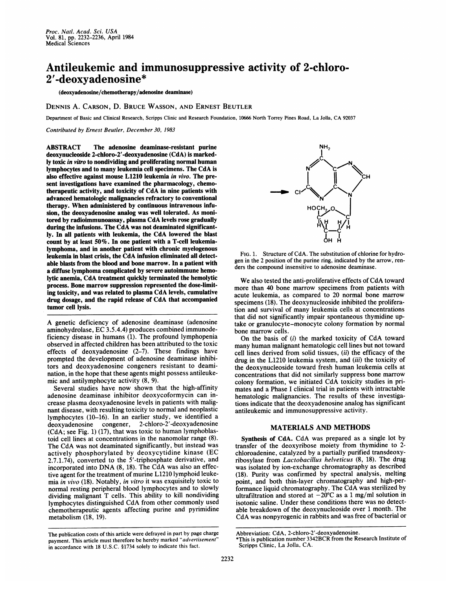## Antileukemic and immunosuppressive activity of 2-chloro-2 '-deoxyadenosine\*

(deoxyadenosine/chemotherapy/adenosine deaminase)

DENNIS A. CARSON, D. BRUCE WASSON, AND ERNEST BEUTLER

Department of Basic and Clinical Research, Scripps Clinic and Research Foundation, <sup>10666</sup> North Torrey Pines Road, La Jolla, CA <sup>92037</sup>

Contributed by Ernest Beutler, December 30, 1983

ABSTRACT The adenosine deaminase-resistant purine deoxynucleoside 2-chloro-2'-deoxyadenosine (CdA) is markedly toxic in vitro to nondividing and proliferating normal human lymphocytes and to many leukemia cell specimens. The CdA is also effective against mouse L1210 leukemia in vivo. The present investigations have examined the pharmacology, chemotherapeutic activity, and toxicity of CdA in nine patients with advanced hematologic malignancies refractory to conventional therapy. When administered by continuous intravenous infusion, the deoxyadenosine analog was well tolerated. As monitored by radioimmunoassay, plasma CdA levels rose gradually during the infusions. The CdA was not deaminated significantly. In all patients with leukemia, the CdA lowered the blast count by at least 50%. In one patient with a T-cell leukemialymphoma, and in another patient with chronic myelogenous leukemia in blast crisis, the CdA infusion eliminated all detectable blasts from the blood and bone marrow. In a patient with a diffuse lymphoma complicated by severe autoimmune hemolytic anemia, CdA treatment quickly terminated the hemolytic process. Bone marrow suppression represented the dose-limiting toxicity, and was related to plasma CdA levels, cumulative drug dosage, and the rapid release of CdA that accompanied tumor cell lysis.

A genetic deficiency of adenosine deaminase (adenosine aminohydrolase, EC 3.5.4.4) produces combined immunodeficiency disease in humans (1). The profound lymphopenia observed in affected children has been attributed to the toxic effects of deoxyadenosine (2-7). These findings have prompted the development of adenosine deaminase inhibitors and deoxyadenosine congeners resistant to deamination, in the hope that these agents might possess antileukemic and antilymphocyte activity (8, 9).

Several studies have now shown that the high-affinity adenosine deaminase inhibitor deoxycoformycin can increase plasma deoxyadenosine levels in patients with malignant disease, with resulting toxicity to normal and neoplastic lymphocytes (10-16). In an earlier study, we identified <sup>a</sup> 2-chloro-2'-deoxyadenosine (CdA; see Fig. 1) (17), that was toxic to human lymphoblastoid cell lines at concentrations in the nanomolar range (8). The CdA was not deaminated significantly, but instead was actively phosphorylated by deoxycytidine kinase (EC 2.7.1.74), converted to the 5'-triphosphate derivative, and incorporated into DNA (8, 18). The CdA was also an effective agent for the treatment of murine L1210 lymphoid leukemia in vivo  $(18)$ . Notably, in vitro it was exquisitely toxic to normal resting peripheral blood lymphocytes and to slowly dividing malignant T cells. This ability to kill nondividing lymphocytes distinguished CdA from other commonly used chemotherapeutic agents affecting purine and pyrimidine metabolism (18, 19).



FIG. 1. Structure of CdA. The substitution of chlorine for hydrogen in the 2 position of the purine ring, indicated by the arrow, renders the compound insensitive to adenosine deaminase.

We also tested the anti-proliferative effects of CdA toward more than 40 bone marrow specimens from patients with acute leukemia, as compared to 20 normal bone marrow specimens (18). The deoxynucleoside inhibited the proliferation and survival of many leukemia cells at concentrations that did not significantly impair spontaneous thymidine uptake or granulocyte-monocyte colony formation by normal bone marrow cells.

On the basis of (i) the marked toxicity of CdA toward many human malignant hematologic cell lines but not toward cell lines derived from solid tissues, (ii) the efficacy of the drug in the L1210 leukemia system, and *(iii)* the toxicity of the deoxynucleoside toward fresh human leukemia cells at concentrations that did not similarly suppress bone marrow colony formation, we initiated CdA toxicity studies in primates and a Phase <sup>I</sup> clinical trial in patients with intractable hematologic malignancies. The results of these investigations indicate that the deoxyadenosine analog has significant antileukemic and immunosuppressive activity.

## MATERIALS AND METHODS

Synthesis of CdA. CdA was prepared as a single lot by transfer of the deoxyribose moiety from thymidine to 2 chloroadenine, catalyzed by a partially purified transdeoxyribosylase from Lactobacillus helveticus (8, 18). The drug was isolated by ion-exchange chromatography as described (18). Purity was confirmed by spectral analysis, melting point, and both thin-layer chromatography and high-performance liquid chromatography. The CdA was sterilized by ultrafiltration and stored at  $-20^{\circ}$ C as a 1 mg/ml solution in isotonic saline. Under these conditions there was no detectable breakdown of the deoxynucleoside over <sup>1</sup> month. The CdA was nonpyrogenic in rabbits and was free of bacterial or

The publication costs of this article were defrayed in part by page charge payment. This article must therefore be hereby marked "advertisement" in accordance with 18 U.S.C. §1734 solely to indicate this fact.

Abbreviation: CdA, 2-chloro-2'-deoxyadenosine.

<sup>\*</sup>This is publication number 3342BCR from the Research Institute of Scripps Clinic, La Jolla, CA.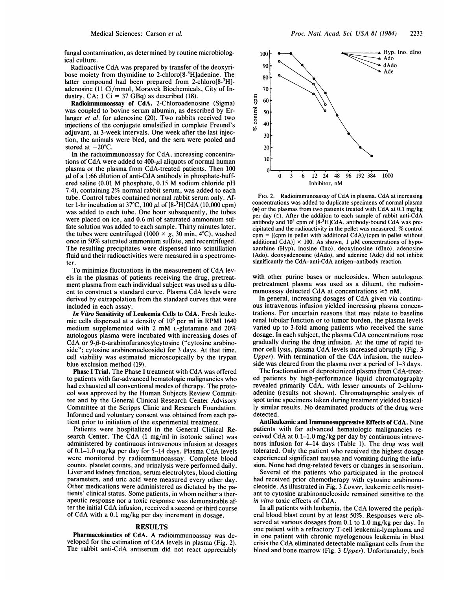fungal contamination, as determined by routine microbiological culture.

Radioactive CdA was prepared by transfer of the deoxyribose moiety from thymidine to 2-chloro[8-3H]adenine. The latter compound had been prepared from 2-chloro $[8-3H]$ adenosine (11 Ci/mmol, Moravek Biochemicals, City of Industry, CA;  $1 \text{ Ci} = 37 \text{ GBq}$  as described (18).

Radioimmunoassay of CdA. 2-Chloroadenosine (Sigma) was coupled to bovine serum albumin, as described by Erlanger et al. for adenosine (20). Two rabbits received two injections of the conjugate emulsified in complete Freund's adjuvant, at 3-week intervals. One week after the last injection, the animals were bled, and the sera were pooled and stored at  $-20^{\circ}$ C.

In the radioimmunoassay for CdA, increasing concentrations of CdA were added to  $400-\mu$ l aliquots of normal human plasma or the plasma from CdA-treated patients. Then 100  $\mu$ l of a 1:66 dilution of anti-CdA antibody in phosphate-buffered saline (0.01 M phosphate, 0.15 M sodium chloride pH 7.4), containing 2% normal rabbit serum, was added to each tube. Control tubes contained normal rabbit serum only. After 1-hr incubation at 37°C, 100  $\mu$ l of [8-<sup>3</sup>H]CdA (10,000 cpm) was added to each tube. One hour subsequently, the tubes were placed on ice, and 0.6 ml of saturated ammonium sulfate solution was added to each sample. Thirty minutes later, the tubes were centrifuged (1000  $\times$  g, 30 min, 4°C), washed once in 50% saturated ammonium sulfate, and recentrifuged. The resulting precipitates were dispensed into scintillation fluid and their radioactivities were measured in a spectrometer.

To minimize fluctuations in the measurement of CdA levels in the plasmas of patients receiving the drug, pretreatment plasma from each individual subject was used as a diluent to construct <sup>a</sup> standard curve. Plasma CdA levels were derived by extrapolation from the standard curves that were included in each assay.

In Vitro Sensitivity of Leukemia Cells to CdA. Fresh leukemic cells dispersed at a density of  $10<sup>6</sup>$  per ml in RPMI 1640 medium supplemented with <sup>2</sup> mM L-glutamine and 20% autologous plasma were incubated with increasing doses of CdA or  $9 - \beta$ -D-arabinofuranosylcytosine ("cytosine arabinoside"; cytosine arabinonucleoside) for <sup>3</sup> days. At that time, cell viability was estimated microscopically by the trypan blue exclusion method (19).

Phase <sup>I</sup> Trial. The Phase <sup>I</sup> treatment with CdA was offered to patients with far-advanced hematologic malignancies who had exhausted all conventional modes of therapy. The protocol was approved by the Human Subjects Review Committee and by the General Clinical Research Center Advisory Committee at the Scripps Clinic and Research Foundation. Informed and voluntary consent was obtained from each patient prior to initiation of the experimental treatment.

Patients were hospitalized in the General Clinical Research Center. The CdA (1 mg/ml in isotonic saline) was administered by continuous intravenous infusion at dosages of 0.1-1.0 mg/kg per day for 5-14 days. Plasma CdA levels were monitored by radioimmunoassay. Complete blood counts, platelet counts, and urinalysis were performed daily. Liver and kidney function, serum electrolytes, blood clotting parameters, and uric acid were measured every other day. Other medications were administered as dictated by the patients' clinical status. Some patients, in whom neither a therapeutic response nor a toxic response was demonstrable after the initial CdA infusion, received <sup>a</sup> second or third course of CdA with <sup>a</sup> 0.1 mg/kg per day increment in dosage.

## RESULTS

Pharmacokinetics of CdA. A radioimmunoassay was developed for the estimation of CdA levels in plasma (Fig. 2). The rabbit anti-CdA antiserum did not react appreciably

90 80 70 60 - 50  $40$  $30<sup>1</sup>$ 20 dAdo Ade

Em - 0 u

100

 $\mathcal{L}$  $\theta$ O 3 6 12 24 48 96 192 384 1000 Inhibitor, nM

FIG. 2. Radioimmunoassay of CdA in plasma. CdA at increasing concentrations was added to duplicate specimens of normal plasma ( $\bullet$ ) or the plasmas from two patients treated with CdA at 0.1 mg/kg per day (o). After the addition to each sample of rabbit anti-CdA antibody and  $10<sup>4</sup>$  cpm of  $[8<sup>3</sup>H]CdA$ , antibody-bound CdA was precipitated and the radioactivity in the pellet was measured. % control  $cpm = [(cpm in pellet with additional CdA)/(cpm in pellet without$ additional CdA)]  $\times$  100. As shown, 1  $\mu$ M concentrations of hypoxanthine (Hyp), inosine (Ino), deoxyinosine (dIno), adenosine (Ado), deoxyadenosine (dAdo), and adenine (Ade) did not inhibit significantly the CdA-anti-CdA antigen-antibody reaction.

with other purine bases or nucleosides. When autologous pretreatment plasma was used as a diluent, the radioimmunoassay detected CdA at concentrations  $\geq$ 5 nM.

In general, increasing dosages of CdA given via continuous intravenous infusion yielded increasing plasma concentrations. For uncertain reasons that may relate to baseline renal tubular function or to tumor burden, the plasma levels varied up to 3-fold among patients who received the same dosage. In each subject, the plasma CdA concentrations rose gradually during the drug infusion. At the time of rapid tumor cell lysis, plasma CdA levels increased abruptly (Fig. <sup>3</sup> Upper). With termination of the CdA infusion, the nucleoside was cleared from the plasma over a period of 1-3 days.

The fractionation of deproteinized plasma from CdA-treated patients by high-performance liquid chromatography revealed primarily CdA, with lesser amounts of 2-chloroadenine (results not shown). Chromatographic analysis of spot urine specimens taken during treatment yielded basically similar results. No deaminated products of the drug were detected.

Antileukemic and Immunosuppressive Effects of CdA. Nine patients with far advanced hematologic malignancies received CdA at 0.1-1.0 mg/kg per day by continuous intravenous infusion for 4-14 days (Table 1). The drug was well tolerated. Only the patient who received the highest dosage experienced significant nausea and vomiting during the infusion. None had drug-related fevers or changes in sensorium.

Several of the patients who participated in the protocol had received prior chemotherapy with cytosine arabinonucleoside. As illustrated in Fig. <sup>3</sup> Lower, leukemic cells resistant to cytosine arabinonucleoside remained sensitive to the in vitro toxic effects of CdA.

In all patients with leukemia, the CdA lowered the peripheral blood blast count by at least 50%. Responses were observed at various dosages from 0.1 to 1.0 mg/kg per day. In one patient with a refractory T-cell leukemia-lymphoma and in one patient with chronic myelogenous leukemia in blast crisis the CdA eliminated detectable malignant cells from the blood and bone marrow (Fig. 3 Upper). Unfortunately, both

Hyp, Ino,dlno

 $\blacktriangle$  Ado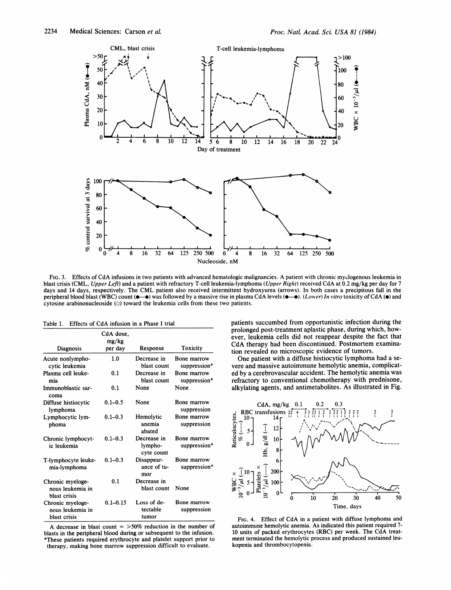

FIG. 3. Effects of CdA infusions in two patients with advanced hematologic malignancies. A patient with chronic myclogenous leukemia in blast crisis (CML, Upper Left) and a patient with refractory T-cell leukemia-lymphoma (Upper Right) received CdA at 0.2 mg/kg per day for 7 days and <sup>14</sup> days, respectively. The CML patient also received intermittent hydroxyurea (arrows). In both cases <sup>a</sup> precipitous fall in the peripheral blood blast (WBC) count ( $\bullet$ -- $\bullet$ ) was followed by a massive rise in plasma CdA levels ( $\bullet$ - $\bullet$ ). (Lower) In vitro toxicity of CdA ( $\bullet$ ) and cytosine arabinonucleoside  $(0)$  toward the leukemia cells from these two patients.

| Table 1. Effects of CdA infusion in a Phase I trial |  |
|-----------------------------------------------------|--|
|-----------------------------------------------------|--|

|                                                      | CdA dose,<br>mg/kg |                                      |                             |
|------------------------------------------------------|--------------------|--------------------------------------|-----------------------------|
| Diagnosis                                            | per day            | Response                             | Toxicity                    |
| Acute nonlympho-<br>cytic leukemia                   | 1.0                | Decrease in<br>blast count           | Bone marrow<br>suppression* |
| Plasma cell leuke-<br>mia                            | 0.1                | Decrease in<br>blast count           | Bone marrow<br>suppression* |
| Immunoblastic sar-<br>coma                           | 0.1                | None                                 | None                        |
| Diffuse histiocytic<br>lymphoma                      | $0.1 - 0.5$        | None                                 | Bone marrow<br>suppression  |
| Lymphocytic lym-<br>phoma                            | $0.1 - 0.3$        | Hemolytic<br>anemia<br>abated        | Bone marrow<br>suppression  |
| Chronic lymphocyt-<br>ic leukemia                    | $0.1 - 0.3$        | Decrease in<br>lympho-<br>cyte count | Bone marrow<br>suppression* |
| T-lymphocyte leuke-<br>mia-lymphoma                  | $0.1 - 0.3$        | Disappear-<br>ance of tu-<br>mor     | Bone marrow<br>suppression* |
| Chronic myeloge-<br>nous leukemia in<br>blast crisis | 0.1                | Decrease in<br>blast count           | None                        |
| Chronic myeloge-<br>nous leukemia in<br>blast crisis | $0.1 - 0.15$       | Loss of de-<br>tectable<br>tumor     | Bone marrow<br>suppression  |

A decrease in blast count  $=$  >50% reduction in the number of blasts in the peripheral blood during or subsequent to the infusion. \*These patients required erythrocyte and platelet support prior to therapy, making bone marrow suppression difficult to evaluate.

patients succumbed from opportunistic infection during the prolonged post-treatment aplastic phase, during which, however, leukemia cells did not reappear despite the fact that CdA therapy had been discontinued. Postmortem examination revealed no microscopic evidence of tumors.

One patient with a diffuse histiocytic lymphoma had a severe and massive autoimmune hemolytic anemia, complicated by a cerebrovascular accident. The hemolytic anemia was refractory to conventional chemotherapy with prednisone, alkylating agents, and antimetabolites. As illustrated in Fig.



FIG. 4. Effect of CdA in <sup>a</sup> patient with diffuse lymphoma and autoimmune hemolytic anemia. As indicated this patient required 7- <sup>10</sup> units of packed erythrocytes (RBC) per week. The CdA treatment terminated the hemolytic process and produced sustained leukopenia and thrombocytopenia.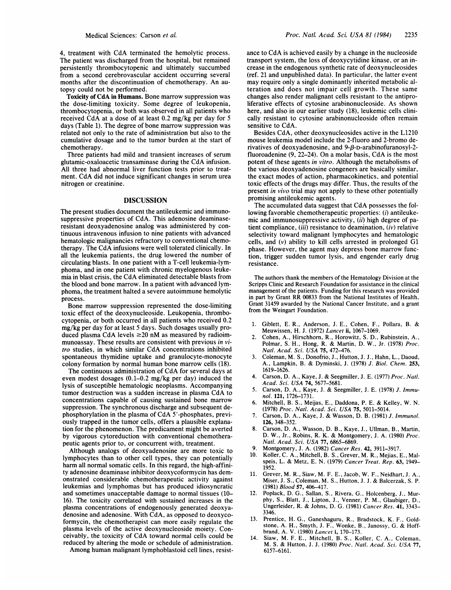Proc. NatL. Acad. Sci. USA <sup>81</sup> (1984) 2235

4, treatment with CdA terminated the hemolytic process. The patient was discharged from the hospital, but remained persistently thrombocytopenic and ultimately succumbed from a second cerebrovascular accident occurring several months after the discontinuation of chemotherapy. An autopsy could not be performed.

Toxicity of CdA in Humans. Bone marrow suppression was the dose-limiting toxicity. Some degree of leukopenia, thrombocytopenia, or both was observed in all patients who received CdA at <sup>a</sup> dose of at least 0.2 mg/kg per day for <sup>5</sup> days (Table 1). The degree of bone marrow suppression was related not only to the rate of administration but also to the cumulative dosage and to the tumor burden at the start of chemotherapy.

Three patients had mild and transient increases of serum glutamic-oxaloacetic transaminase during the CdA infusion. All three had abnormal liver function tests prior to treatment. CdA did not induce significant changes in serum urea nitrogen or creatinine.

## DISCUSSION

The present studies document the antileukemic and immunosuppressive properties of CdA. This adenosine deaminaseresistant deoxyadenosine analog was administered by continuous intravenous infusion to nine patients with advanced hematologic malignancies refractory to conventional chemotherapy. The CdA infusions were well tolerated clinically. In all the leukemia patients, the drug lowered the number of circulating blasts. In one patient with a T-cell leukemia-lymphoma, and in one patient with chronic myelogenous leukemia in blast crisis, the CdA eliminated detectable blasts from the blood and bone marrow. In a patient with advanced lymphoma, the treatment halted a severe autoimmune hemolytic process.

Bone marrow suppression represented the dose-limiting toxic effect of the deoxynucleoside. Leukopenia, thrombocytopenia, or both occurred in all patients who received 0.2 mg/kg per day for at least 5 days. Such dosages usually produced plasma CdA levels  $\geq$ 20 nM as measured by radioimmunoassay. These results are consistent with previous in vitro studies, in which similar CdA concentrations inhibited spontaneous thymidine uptake and granulocyte-monocyte colony formation by normal human bone marrow cells (18).

The continuous administration of CdA for several days at even modest dosages (0.1-0.2 mg/kg per day) induced the lysis of susceptible hematologic neoplasms. Accompanying tumor destruction was <sup>a</sup> sudden increase in plasma CdA to concentrations capable of causing sustained bone marrow suppression. The synchronous discharge and subsequent dephosphorylation in the plasma of CdA <sup>5</sup>'-phosphates, previously trapped in the tumor cells, offers a plausible explanation for the phenomenon. The predicament might be averted by vigorous cytoreduction with conventional chemotherapeutic agents prior to, or concurrent with, treatment.

Although analogs of deoxyadenosine are more toxic to lymphocytes than to other cell types, they can potentially harm all normal somatic cells. In this regard, the high-affinity adenosine deaminase inhibitor deoxycoformycin has demonstrated considerable chemotherapeutic activity against leukemias and lymphomas but has produced idiosyncratic and sometimes unacceptable damage to normal tissues (10- 16). The toxicity correlated with sustained increases in the plasma concentrations of endogenously generated deoxyadenosine and adenosine. With CdA, as opposed to deoxycoformycin, the chemotherapist can more easily regulate the plasma levels of the active deoxynucleoside moiety. Conceivably, the toxicity of CdA toward normal cells could be reduced by altering the mode or schedule of administration.

Among human malignant lymphoblastoid cell lines, resist-

ance to CdA is achieved easily by a change in the nucleoside transport system, the loss of deoxycytidine kinase, or an increase in the endogenous synthetic rate of deoxynucleosides (ref. 21 and unpublished data). In particular, the latter event may require only a single dominantly inherited metabolic alteration and does not impair cell growth. These same changes also render malignant cells resistant to the antiproliferative effects of cytosine arabinonucleoside. As shown here, and also in our earlier study (18), leukemic cells clinically resistant to cytosine arabinonucleoside often remain sensitive to CdA.

Besides CdA, other deoxynucleosides active in the L1210 mouse leukemia model include the 2-fluoro and 2-bromo derivatives of deoxyadenosine, and  $9 - \beta$ -D-arabinofuranosyl-2fluoroadenine (9, 22-24). On a molar basis, CdA is the most potent of these agents in vitro. Although the metabolisms of the various deoxyadenosine congeners are basically similar, the exact modes of action, pharmacokinetics, and potential toxic effects of the drugs may differ. Thus, the results of the present in vivo trial may not apply to these other potentially promising antileukemic agents.

The accumulated data suggest that CdA possesses the following favorable chemotherapeutic properties: (i) antileukemic and immunosuppressive activity, (ii) high degree of patient compliance,  $(iii)$  resistance to deamination,  $(iv)$  relative selectivity toward malignant lymphocytes and hematologic cells, and (v) ability to kill cells arrested in prolonged G1 phase. However, the agent may depress bone marrow function, trigger sudden tumor lysis, and engender early drug resistance.

The authors thank the members of the Hematology Division at the Scripps Clinic and Research Foundation for assistance in the clinical management of the patients. Funding for this research was provided in part by Grant RR 00833 from the National Institutes of Health, Grant 31459 awarded by the National Cancer Institute, and a grant from the Weingart Foundation.

- 1. Giblett, E. R., Anderson, J. E., Cohen, F., Pollara, B. & Meuwissen, H. J. (1972) Lancet ii, 1067-1069.
- 2. Cohen, A., Hirschhorn, R., Horowitz, S. D., Rubinstein, A., Polmar, S. H., Hong, R. & Martin, D. W., Jr. (1978) Proc. Natl. Acad. Sci. USA 75, 472-476.
- 3. Coleman, M. S., Donofrio, J., Hutton, J. J., Hahn, L., Daoud, A., Lampkin, B. & Dyminski, J. (1978) J. Biol. Chem. 253, 1619-1626.
- 4. Carson, D. A., Kaye, J. & Seegmiller, J. E. (1977) Proc. Natl. Acad. Sci. USA 74, 5677-5681.
- 5. Carson, D. A., Kaye, J. & Seegmiller, J. E. (1978) J. Immunol. 121, 1726-1731.
- 6. Mitchell, B. S., Meijas, E., Daddona, P. E. & Kelley, W. N. (1978) Proc. Natl. Acad. Sci. USA 75, 5011-5014.
- 7. Carson, D. A., Kaye, J. & Wasson, D. B. (1981) J. Immunol. 126, 348-352.
- 8. Carson, D. A., Wasson, D. B., Kaye, J., Ullman, B., Martin, D. W., Jr., Robins, R. K. & Montgomery, J. A. (1980) Proc. Natl. Acad. Sci. USA 77, 6865-6869.
- 9. Montgomery, J. A. (1982) Cancer Res. 42, 3911-3917.<br>10. Koller, C. A., Mitchell, B. S., Grever, M. R., Meijas, J.
- Koller, C. A., Mitchell, B. S., Grever, M. R., Mejias, E., Malspeis, L. & Metz, E. N. (1979) Cancer Treat. Rep. 63, 1949- 1952.
- 11. Grever, M. R., Siaw, M. F. E., Jacob, W. F., Neidhart, J. A., Miser, J. S., Coleman, M. S., Hutton, J. J. & Balcerzak, S. P. (1981) Blood 57, 406-417.
- 12. Poplack, D. G., Sallan, S., Rivera, G., Holcenberg, J., Murphy, S., Blatt, J., Lipton, J., Venner, P. M., Glaubiger, D., Ungerleider, R. & Johns, D. G. (1981) Cancer Res. 41, 3343- 3346.
- 13. Prentice, H. G., Ganeshaguru, R., Bradstock, K. F., Goldstone, A. H., Smyth, J. F., Wonke, B., Janossy, G. & Hoffbrand, A. V. (1980) Lancet i, 170-173.
- 14. Siaw, M. F. E., Mitchell, B. S., Koller, C. A., Coleman, M. S. & Hutton, J. J. (1980) Proc. NatI. Acad. Sci. USA 77, 6157-6161.